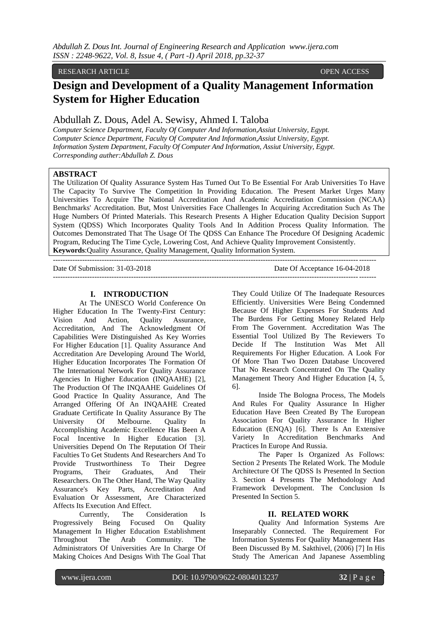## RESEARCH ARTICLE **CONSERVERS**

# **Design and Development of a Quality Management Information System for Higher Education**

# Abdullah Z. Dous, Adel A. Sewisy, Ahmed I. Taloba

*Computer Science Department, Faculty Of Computer And Information,Assiut University, Egypt. Computer Science Department, Faculty Of Computer And Information,Assiut University, Egypt. Information System Department, Faculty Of Computer And Information, Assiut University, Egypt*. *Corresponding auther:Abdullah Z. Dous*

## **ABSTRACT**

The Utilization Of Quality Assurance System Has Turned Out To Be Essential For Arab Universities To Have The Capacity To Survive The Competition In Providing Education. The Present Market Urges Many Universities To Acquire The National Accreditation And Academic Accreditation Commission (NCAA) Benchmarks' Accreditation. But, Most Universities Face Challenges In Acquiring Accreditation Such As The Huge Numbers Of Printed Materials. This Research Presents A Higher Education Quality Decision Support System (QDSS) Which Incorporates Quality Tools And In Addition Process Quality Information. The Outcomes Demonstrated That The Usage Of The QDSS Can Enhance The Procedure Of Designing Academic Program, Reducing The Time Cycle, Lowering Cost, And Achieve Quality Improvement Consistently. **Keywords**:Quality Assurance, Quality Management, Quality Information System.

------------------------------------------------------------------------------------------------------------------------------------

Date Of Submission: 31-03-2018 Date Of Acceptance 16-04-2018 ------------------------------------------------------------------------------------------------------------------------------------

#### **I. INTRODUCTION**

At The UNESCO World Conference On Higher Education In The Twenty-First Century: Vision And Action, Quality Assurance, Accreditation, And The Acknowledgment Of Capabilities Were Distinguished As Key Worries For Higher Education [1]. Quality Assurance And Accreditation Are Developing Around The World, Higher Education Incorporates The Formation Of The International Network For Quality Assurance Agencies In Higher Education (INQAAHE) [2], The Production Of The INQAAHE Guidelines Of Good Practice In Quality Assurance, And The Arranged Offering Of An INQAAHE Created Graduate Certificate In Quality Assurance By The University Of Melbourne. Quality In Accomplishing Academic Excellence Has Been A Focal Incentive In Higher Education [3]. Universities Depend On The Reputation Of Their Faculties To Get Students And Researchers And To Provide Trustworthiness To Their Degree Programs, Their Graduates, And Their Researchers. On The Other Hand, The Way Quality Assurance's Key Parts, Accreditation And Evaluation Or Assessment, Are Characterized Affects Its Execution And Effect.

Currently, The Consideration Is Progressively Being Focused On Quality Management In Higher Education Establishment Throughout The Arab Community. The Administrators Of Universities Are In Charge Of Making Choices And Designs With The Goal That

They Could Utilize Of The Inadequate Resources Efficiently. Universities Were Being Condemned Because Of Higher Expenses For Students And The Burdens For Getting Money Related Help From The Government. Accreditation Was The Essential Tool Utilized By The Reviewers To Decide If The Institution Was Met All Requirements For Higher Education. A Look For Of More Than Two Dozen Database Uncovered That No Research Concentrated On The Quality Management Theory And Higher Education [4, 5, 6].

Inside The Bologna Process, The Models And Rules For Quality Assurance In Higher Education Have Been Created By The European Association For Quality Assurance In Higher Education (ENQA) [6]. There Is An Extensive Variety In Accreditation Benchmarks And Practices In Europe And Russia.

The Paper Is Organized As Follows: Section 2 Presents The Related Work. The Module Architecture Of The QDSS Is Presented In Section 3. Section 4 Presents The Methodology And Framework Development. The Conclusion Is Presented In Section 5.

#### **II. RELATED WORK**

Quality And Information Systems Are Inseparably Connected. The Requirement For Information Systems For Quality Management Has Been Discussed By M. Sakthivel, (2006) [7] In His Study The American And Japanese Assembling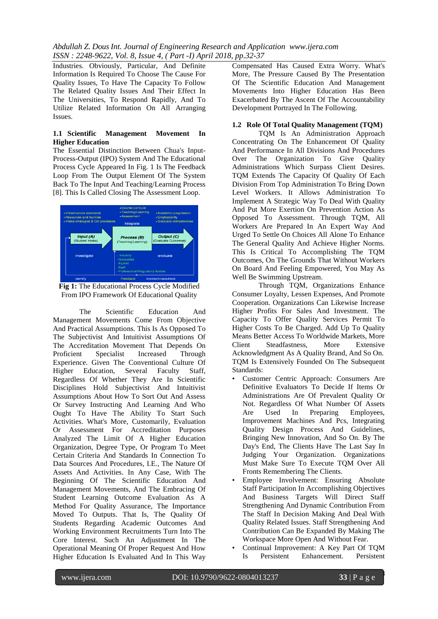Industries. Obviously, Particular, And Definite Information Is Required To Choose The Cause For Quality Issues, To Have The Capacity To Follow The Related Quality Issues And Their Effect In The Universities, To Respond Rapidly, And To Utilize Related Information On All Arranging Issues.

#### **1.1 Scientific Management Movement In Higher Education**

The Essential Distinction Between Chua's Input-Process-Output (IPO) System And The Educational Process Cycle Appeared In Fig. 1 Is The Feedback Loop From The Output Element Of The System Back To The Input And Teaching/Learning Process [8]. This Is Called Closing The Assessment Loop.



**Fig 1:** The Educational Process Cycle Modified From IPO Framework Of Educational Quality

The Scientific Education And Management Movements Come From Objective And Practical Assumptions. This Is As Opposed To The Subjectivist And Intuitivist Assumptions Of The Accreditation Movement That Depends On Proficient Specialist Increased Through Experience. Given The Conventional Culture Of Higher Education, Several Faculty Staff, Regardless Of Whether They Are In Scientific Disciplines Hold Subjectivist And Intuitivist Assumptions About How To Sort Out And Assess Or Survey Instructing And Learning And Who Ought To Have The Ability To Start Such Activities. What's More, Customarily, Evaluation Or Assessment For Accreditation Purposes Analyzed The Limit Of A Higher Education Organization, Degree Type, Or Program To Meet Certain Criteria And Standards In Connection To Data Sources And Procedures, I.E., The Nature Of Assets And Activities. In Any Case, With The Beginning Of The Scientific Education And Management Movements, And The Embracing Of Student Learning Outcome Evaluation As A Method For Quality Assurance, The Importance Moved To Outputs. That Is, The Quality Of Students Regarding Academic Outcomes And Working Environment Recruitments Turn Into The Core Interest. Such An Adjustment In The Operational Meaning Of Proper Request And How Higher Education Is Evaluated And In This Way

Compensated Has Caused Extra Worry. What's More, The Pressure Caused By The Presentation Of The Scientific Education And Management Movements Into Higher Education Has Been Exacerbated By The Ascent Of The Accountability Development Portrayed In The Following.

#### **1.2 Role Of Total Quality Management (TQM)**

TQM Is An Administration Approach Concentrating On The Enhancement Of Quality And Performance In All Divisions And Procedures Over The Organization To Give Quality Administrations Which Surpass Client Desires. TQM Extends The Capacity Of Quality Of Each Division From Top Administration To Bring Down Level Workers. It Allows Administration To Implement A Strategic Way To Deal With Quality And Put More Exertion On Prevention Action As Opposed To Assessment. Through TQM, All Workers Are Prepared In An Expert Way And Urged To Settle On Choices All Alone To Enhance The General Quality And Achieve Higher Norms. This Is Critical To Accomplishing The TQM Outcomes, On The Grounds That Without Workers On Board And Feeling Empowered, You May As Well Be Swimming Upstream.

Through TQM, Organizations Enhance Consumer Loyalty, Lessen Expenses, And Promote Cooperation. Organizations Can Likewise Increase Higher Profits For Sales And Investment. The Capacity To Offer Quality Services Permit To Higher Costs To Be Charged. Add Up To Quality Means Better Access To Worldwide Markets, More Client Steadfastness, More Extensive Acknowledgment As A Quality Brand, And So On. TQM Is Extensively Founded On The Subsequent Standards:

- Customer Centric Approach: Consumers Are Definitive Evaluators To Decide If Items Or Administrations Are Of Prevalent Quality Or Not. Regardless Of What Number Of Assets Are Used In Preparing Employees, Improvement Machines And Pcs, Integrating Quality Design Process And Guidelines, Bringing New Innovation, And So On. By The Day's End, The Clients Have The Last Say In Judging Your Organization. Organizations Must Make Sure To Execute TQM Over All Fronts Remembering The Clients.
- Employee Involvement: Ensuring Absolute Staff Participation In Accomplishing Objectives And Business Targets Will Direct Staff Strengthening And Dynamic Contribution From The Staff In Decision Making And Deal With Quality Related Issues. Staff Strengthening And Contribution Can Be Expanded By Making The Workspace More Open And Without Fear.
- Continual Improvement: A Key Part Of TQM Is Persistent Enhancement. Persistent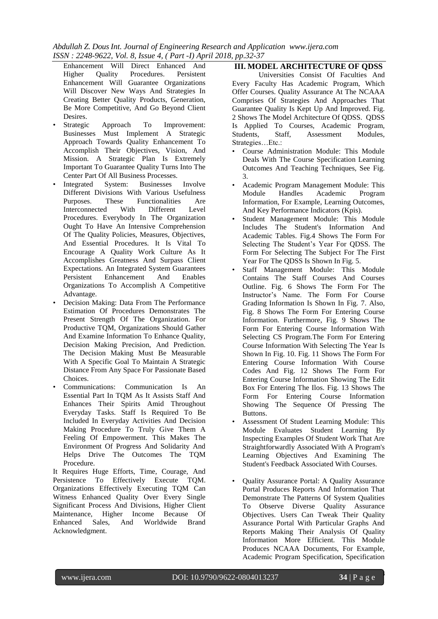*Abdullah Z. Dous Int. Journal of Engineering Research and Application www.ijera.com ISSN : 2248-9622, Vol. 8, Issue 4, ( Part -I) April 2018, pp.32-37*

- Enhancement Will Direct Enhanced And Higher Quality Procedures. Persistent Enhancement Will Guarantee Organizations Will Discover New Ways And Strategies In Creating Better Quality Products, Generation, Be More Competitive, And Go Beyond Client Desires.<br>Strategic
- Approach To Improvement: Businesses Must Implement A Strategic Approach Towards Quality Enhancement To Accomplish Their Objectives, Vision, And Mission. A Strategic Plan Is Extremely Important To Guarantee Quality Turns Into The Center Part Of All Business Processes.
- Integrated System: Businesses Involve Different Divisions With Various Usefulness Purposes. These Functionalities Are Interconnected With Different Level Procedures. Everybody In The Organization Ought To Have An Intensive Comprehension Of The Quality Policies, Measures, Objectives, And Essential Procedures. It Is Vital To Encourage A Quality Work Culture As It Accomplishes Greatness And Surpass Client Expectations. An Integrated System Guarantees Persistent Enhancement And Enables Organizations To Accomplish A Competitive Advantage.
- Decision Making: Data From The Performance Estimation Of Procedures Demonstrates The Present Strength Of The Organization. For Productive TQM, Organizations Should Gather And Examine Information To Enhance Quality, Decision Making Precision, And Prediction. The Decision Making Must Be Measurable With A Specific Goal To Maintain A Strategic Distance From Any Space For Passionate Based Choices.
- Communications: Communication Is An Essential Part In TQM As It Assists Staff And Enhances Their Spirits Amid Throughout Everyday Tasks. Staff Is Required To Be Included In Everyday Activities And Decision Making Procedure To Truly Give Them A Feeling Of Empowerment. This Makes The Environment Of Progress And Solidarity And Helps Drive The Outcomes The TQM Procedure.

It Requires Huge Efforts, Time, Courage, And Persistence To Effectively Execute TQM. Organizations Effectively Executing TQM Can Witness Enhanced Quality Over Every Single Significant Process And Divisions, Higher Client Maintenance, Higher Income Because Of Enhanced Sales, And Worldwide Brand Acknowledgment.

# **III. MODEL ARCHITECTURE OF QDSS**

Universities Consist Of Faculties And Every Faculty Has Academic Program, Which Offer Courses. Quality Assurance At The NCAAA Comprises Of Strategies And Approaches That Guarantee Quality Is Kept Up And Improved. Fig. 2 Shows The Model Architecture Of QDSS. QDSS Is Applied To Courses, Academic Program, Students, Staff, Assessment Modules, Strategies…Etc.:

- Course Administration Module: This Module Deals With The Course Specification Learning Outcomes And Teaching Techniques, See Fig. 3.
- Academic Program Management Module: This Module Handles Academic Program Information, For Example, Learning Outcomes, And Key Performance Indicators (Kpis).
- Student Management Module: This Module Includes The Student's Information And Academic Tables. Fig.4 Shows The Form For Selecting The Student's Year For QDSS. The Form For Selecting The Subject For The First Year For The QDSS Is Shown In Fig. 5.
- Staff Management Module: This Module Contains The Staff Courses And Courses Outline. Fig. 6 Shows The Form For The Instructor's Name. The Form For Course Grading Information Is Shown In Fig. 7. Also, Fig. 8 Shows The Form For Entering Course Information. Furthermore, Fig. 9 Shows The Form For Entering Course Information With Selecting CS Program.The Form For Entering Course Information With Selecting The Year Is Shown In Fig. 10. Fig. 11 Shows The Form For Entering Course Information With Course Codes And Fig. 12 Shows The Form For Entering Course Information Showing The Edit Box For Entering The Ilos. Fig. 13 Shows The Form For Entering Course Information Showing The Sequence Of Pressing The Buttons.
- Assessment Of Student Learning Module: This Module Evaluates Student Learning By Inspecting Examples Of Student Work That Are Straightforwardly Associated With A Program's Learning Objectives And Examining The Student's Feedback Associated With Courses.
- Quality Assurance Portal: A Quality Assurance Portal Produces Reports And Information That Demonstrate The Patterns Of System Qualities To Observe Diverse Quality Assurance Objectives. Users Can Tweak Their Quality Assurance Portal With Particular Graphs And Reports Making Their Analysis Of Quality Information More Efficient. This Module Produces NCAAA Documents, For Example, Academic Program Specification, Specification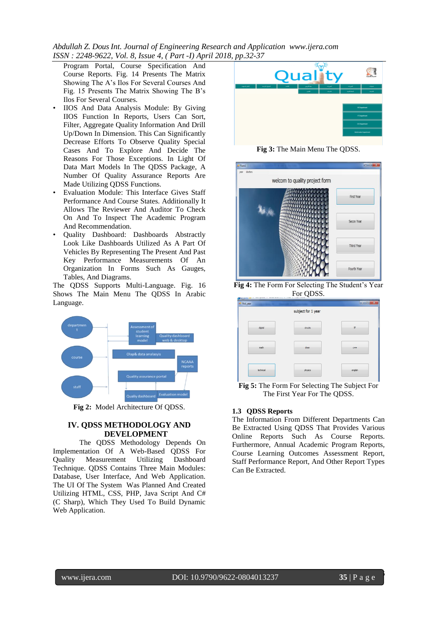*Abdullah Z. Dous Int. Journal of Engineering Research and Application www.ijera.com ISSN : 2248-9622, Vol. 8, Issue 4, ( Part -I) April 2018, pp.32-37*

Program Portal, Course Specification And Course Reports. Fig. 14 Presents The Matrix Showing The A's Ilos For Several Courses And Fig. 15 Presents The Matrix Showing The B's Ilos For Several Courses.

- IIOS And Data Analysis Module: By Giving IIOS Function In Reports, Users Can Sort, Filter, Aggregate Quality Information And Drill Up/Down In Dimension. This Can Significantly Decrease Efforts To Observe Quality Special Cases And To Explore And Decide The Reasons For Those Exceptions. In Light Of Data Mart Models In The QDSS Package, A Number Of Quality Assurance Reports Are Made Utilizing QDSS Functions.
- Evaluation Module: This Interface Gives Staff Performance And Course States. Additionally It Allows The Reviewer And Auditor To Check On And To Inspect The Academic Program And Recommendation.
- Quality Dashboard: Dashboards Abstractly Look Like Dashboards Utilized As A Part Of Vehicles By Representing The Present And Past Key Performance Measurements Of An Organization In Forms Such As Gauges, Tables, And Diagrams.

The QDSS Supports Multi-Language. Fig. 16 Shows The Main Menu The QDSS In Arabic Language.



**Fig 2:** Model Architecture Of QDSS.

#### **IV. QDSS METHODOLOGY AND DEVELOPMENT**

The QDSS Methodology Depends On Implementation Of A Web-Based QDSS For Quality Measurement Utilizing Dashboard Technique. QDSS Contains Three Main Modules: Database, User Interface, And Web Application. The UI Of The System Was Planned And Created Utilizing HTML, CSS, PHP, Java Script And C# (C Sharp), Which They Used To Build Dynamic Web Application.



**Fig 3:** The Main Menu The QDSS.



**Fig 4:** The Form For Selecting The Student's Year For QDSS.



**Fig 5:** The Form For Selecting The Subject For The First Year For The QDSS.

#### **1.3 QDSS Reports**

The Information From Different Departments Can Be Extracted Using QDSS That Provides Various Online Reports Such As Course Reports. Furthermore, Annual Academic Program Reports, Course Learning Outcomes Assessment Report, Staff Performance Report, And Other Report Types Can Be Extracted.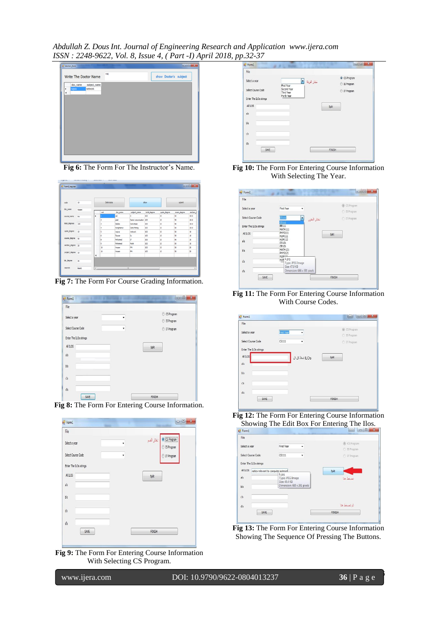*Abdullah Z. Dous Int. Journal of Engineering Research and Application www.ijera.com ISSN : 2248-9622, Vol. 8, Issue 4, ( Part -I) April 2018, pp.32-37*



**Fig 6:** The Form For The Instructor's Name.

|                   |           |        | Delet data |                 |                    | show                |                    | sónt              |                               |  |  |
|-------------------|-----------|--------|------------|-----------------|--------------------|---------------------|--------------------|-------------------|-------------------------------|--|--|
| code              | 10        |        |            |                 |                    |                     |                    |                   |                               |  |  |
| doc name          | Hosan     |        | cod        |                 |                    |                     |                    |                   |                               |  |  |
|                   |           |        |            | doc_name<br>del | subject_name       | total_degree<br>100 | quize_degree<br>10 | exam_degree<br>50 | section <sub>,3</sub><br>1010 |  |  |
| course_name       | PM        | ٠      |            |                 | <b>R</b>           |                     |                    |                   |                               |  |  |
|                   |           |        |            | adel            | Datat comunication | 100                 | 10                 | 50                | 1010                          |  |  |
| total degrees     | 100       |        | 3          | taloba          | Data Base          | 100                 | 30                 | \$0               | 1010                          |  |  |
|                   |           |        | 4          | marghanny       | <b>Data Mining</b> | 100                 | 30                 | 50                | 1010                          |  |  |
| quize degree      | <b>SO</b> |        | Ś          | natwa           | network            | 100                 | 10                 | 50                | 10                            |  |  |
|                   |           |        | 6          | Tayper          | ls.                | 100                 | 30                 | 50                | 10                            |  |  |
| exame_degree 50   |           |        | 8          | Mohamed         | п                  | 100                 | 10                 | 50                | 10                            |  |  |
|                   |           |        | ġ.         | Mohamed         | Math               | 100                 | 30                 | 50                | 10                            |  |  |
| section_degree 20 |           |        | 10         | Hosam           | PM                 | 100                 | 10                 | \$0               | 20                            |  |  |
| project_degree 10 |           |        | 10         | Hosam           | PM                 | 100                 | 50                 | 50                | 20                            |  |  |
|                   |           | $\ast$ |            |                 |                    |                     |                    |                   |                               |  |  |
| lab degree        | 20        |        |            |                 |                    |                     |                    |                   |                               |  |  |

**Fig 7:** The Form For Course Grading Information.

| File                   |   |                  |
|------------------------|---|------------------|
| Select a year          |   | C CS Program     |
|                        |   | S Program        |
| Select Course Code     | ٠ | <b>T</b> Program |
| Enter The ILOs strings |   |                  |
| All LOS                |   |                  |
|                        |   | Split            |
| a's                    |   |                  |
| b's                    |   |                  |
|                        |   |                  |
| ćs                     |   |                  |
|                        |   |                  |
| ďs                     |   |                  |



| File                   |   |                                       |
|------------------------|---|---------------------------------------|
| Select a year          |   | CS Program<br>نغال القسم<br>S Program |
| Select Course Code     | ٠ | T Program                             |
| Enter The ILOs strings |   |                                       |
| All DS                 |   | Split                                 |
| a's                    |   |                                       |
| b's                    |   |                                       |
| ćs                     |   |                                       |
| ďs                     |   |                                       |
| SAVE                   |   | FINISH                                |

**Fig 9:** The Form For Entering Course Information With Selecting CS Program.

| File                                         |                                         |                            |                         |  |
|----------------------------------------------|-----------------------------------------|----------------------------|-------------------------|--|
| Select a year                                | First Year                              | تخار الوقة <mark>.*</mark> | CS Program<br>S Program |  |
| Select Course Code<br>Enter The ILOs strings | Second Year<br>Third Year<br>Forth Year |                            | ◯ IT Program            |  |
| All D.C.                                     |                                         |                            |                         |  |
|                                              |                                         |                            | Spit                    |  |
| a's                                          |                                         |                            |                         |  |
| b's                                          |                                         |                            |                         |  |
| $\vec{cs}$                                   |                                         |                            |                         |  |
| ďs                                           |                                         |                            |                         |  |
| SAVE                                         |                                         |                            | <b>FINISH</b>           |  |
|                                              |                                         |                            |                         |  |

**Fig 10:** The Form For Entering Course Information With Selecting The Year.



**Fig 11:** The Form For Entering Course Information With Course Codes.



**Fig 12:** The Form For Entering Course Information Showing The Edit Box For Entering The Ilos.



**Fig 13:** The Form For Entering Course Information Showing The Sequence Of Pressing The Buttons.